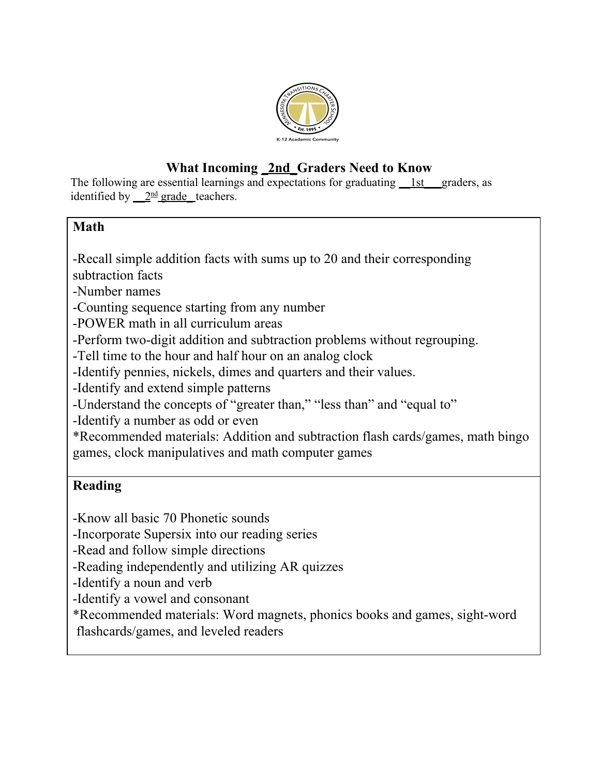

# **What Incoming \_2nd\_Graders Need to Know**

The following are essential learnings and expectations for graduating <u>1st</u> graders, as identified by  $2<sup>nd</sup>$  grade teachers.

#### **Math**

-Recall simple addition facts with sums up to 20 and their corresponding

subtraction facts

-Number names

-Counting sequence starting from any number

-POWER math in all curriculum areas

-Perform two-digit addition and subtraction problems without regrouping.

-Tell time to the hour and half hour on an analog clock

-Identify pennies, nickels, dimes and quarters and their values.

-Identify and extend simple patterns

-Understand the concepts of "greater than," "less than" and "equal to"

-Identify a number as odd or even

\*Recommended materials: Addition and subtraction flash cards/games, math bingo games, clock manipulatives and math computer games

## **Reading**

-Know all basic 70 Phonetic sounds

-Incorporate Supersix into our reading series

-Read and follow simple directions

-Reading independently and utilizing AR quizzes

-Identify a noun and verb

-Identify a vowel and consonant

\*Recommended materials: Word magnets, phonics books and games, sight-word flashcards/games, and leveled readers